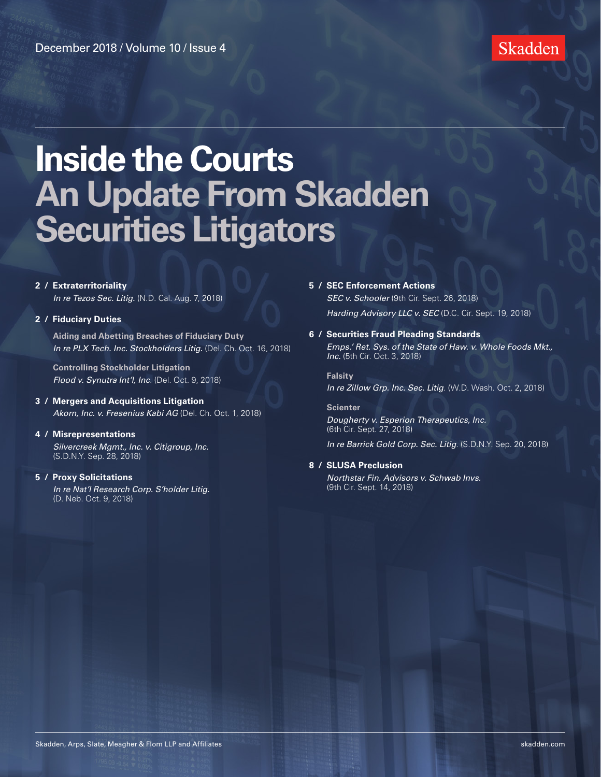# Skadden

# **Inside the Courts An Update From Skadden Securities Litigators**

#### **2 / [Extraterritoriality](#page-1-0)**

*In re Tezos Sec. Litig.* [\(N.D. Cal. Aug. 7, 2018\)](#page-1-0)

#### **2 / [Fiduciary Duties](#page-1-0)**

**[Aiding and Abetting Breaches of Fiduciary Duty](#page-1-0)**  *[In re PLX Tech. Inc. Stockholders Litig.](#page-1-0)* (Del. Ch. Oct. 16, 2018)

**[Controlling Stockholder Litigation](#page-2-0)** *[Flood v. Synutra Int'l, Inc](#page-2-0)*. (Del. Oct. 9, 2018)

**3 / [Mergers and Acquisitions Litigation](#page-2-0)** *[Akorn, Inc. v. Fresenius Kabi AG](#page-2-0)* (Del. Ch. Oct. 1, 2018)

#### **4 / [Misrepresentations](#page-3-0)**

*[Silvercreek Mgmt., Inc. v. Citigroup, Inc.](#page-3-0)* [\(S.D.N.Y. Sep. 28, 2018\)](#page-3-0)

#### **5 / [Proxy Solicitations](#page-4-0)**

*[In re Nat'l Research Corp. S'holder Litig.](#page-4-0)* [\(D. Neb. Oct. 9, 2018\)](#page-4-0)

**5 / [SEC Enforcement Actions](#page-4-0)**

*SEC v. Schooler* [\(9th Cir. Sept. 26, 2018\)](#page-4-0) *[Harding Advisory LLC v. SEC](#page-5-0)* (D.C. Cir. Sept. 19, 2018)

# **6 / [Securities Fraud Pleading Standards](#page-5-0)**

*[Emps.' Ret. Sys. of the State of Haw. v. Whole Foods Mkt.,](#page-5-0)  Inc.* [\(5th Cir. Oct. 3, 2018\)](#page-5-0)

**[Falsity](#page-6-0)** *[In re Zillow Grp. Inc. Sec. Litig](#page-6-0)*. (W.D. Wash. Oct. 2, 2018)

**[Scienter](#page-6-0)** *[Dougherty v. Esperion Therapeutics, Inc.](#page-6-0)* [\(6th Cir. Sept. 27, 2018\)](#page-6-0)

*[In re Barrick Gold Corp. Sec. Litig](#page-7-0)*. (S.D.N.Y. Sep. 20, 2018)

#### **8 / [SLUSA Preclusion](#page-7-0)**

*[Northstar Fin. Advisors v. Schwab Invs.](#page-7-0)* [\(9th Cir. Sept. 14, 2018\)](#page-7-0)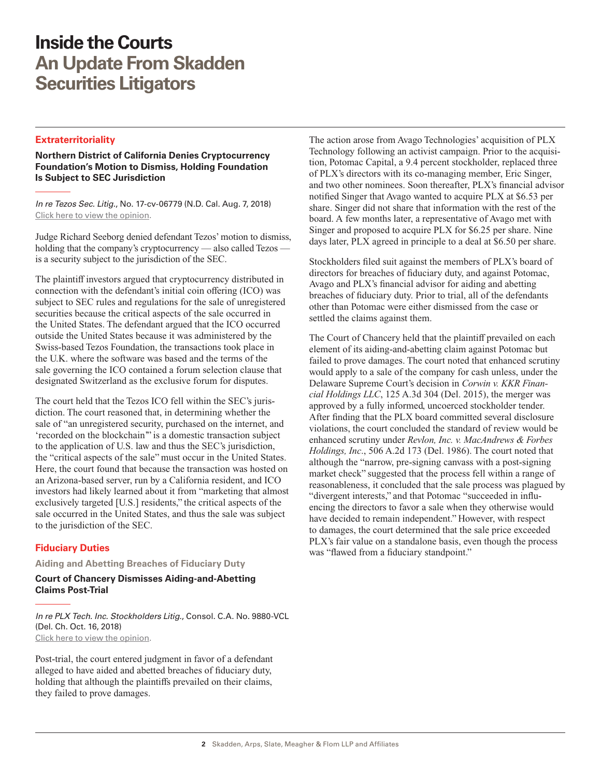### <span id="page-1-0"></span>**Extraterritoriality**

**Northern District of California Denies Cryptocurrency Foundation's Motion to Dismiss, Holding Foundation Is Subject to SEC Jurisdiction**

*In re Tezos Sec. Litig.*, No. 17-cv-06779 (N.D. Cal. Aug. 7, 2018) [Click here to view the opinion](https://www.skadden.com/-/media/files/publications/2018/11/inside-the-courts-november-2018/in_re_tezos_sec_litig.pdf).

Judge Richard Seeborg denied defendant Tezos' motion to dismiss, holding that the company's cryptocurrency — also called Tezos is a security subject to the jurisdiction of the SEC.

The plaintiff investors argued that cryptocurrency distributed in connection with the defendant's initial coin offering (ICO) was subject to SEC rules and regulations for the sale of unregistered securities because the critical aspects of the sale occurred in the United States. The defendant argued that the ICO occurred outside the United States because it was administered by the Swiss-based Tezos Foundation, the transactions took place in the U.K. where the software was based and the terms of the sale governing the ICO contained a forum selection clause that designated Switzerland as the exclusive forum for disputes.

The court held that the Tezos ICO fell within the SEC's jurisdiction. The court reasoned that, in determining whether the sale of "an unregistered security, purchased on the internet, and 'recorded on the blockchain'" is a domestic transaction subject to the application of U.S. law and thus the SEC's jurisdiction, the "critical aspects of the sale" must occur in the United States. Here, the court found that because the transaction was hosted on an Arizona-based server, run by a California resident, and ICO investors had likely learned about it from "marketing that almost exclusively targeted [U.S.] residents," the critical aspects of the sale occurred in the United States, and thus the sale was subject to the jurisdiction of the SEC.

### **Fiduciary Duties**

**Aiding and Abetting Breaches of Fiduciary Duty** 

### **Court of Chancery Dismisses Aiding-and-Abetting Claims Post-Trial**

*In re PLX Tech. Inc. Stockholders Litig.*, Consol. C.A. No. 9880-VCL (Del. Ch. Oct. 16, 2018) [Click here to view the opinion](https://www.skadden.com/-/media/files/publications/2018/11/inside-the-courts-november-2018/in_re_plx_technology_inc.pdf).

Post-trial, the court entered judgment in favor of a defendant alleged to have aided and abetted breaches of fiduciary duty, holding that although the plaintiffs prevailed on their claims, they failed to prove damages.

The action arose from Avago Technologies' acquisition of PLX Technology following an activist campaign. Prior to the acquisition, Potomac Capital, a 9.4 percent stockholder, replaced three of PLX's directors with its co-managing member, Eric Singer, and two other nominees. Soon thereafter, PLX's financial advisor notified Singer that Avago wanted to acquire PLX at \$6.53 per share. Singer did not share that information with the rest of the board. A few months later, a representative of Avago met with Singer and proposed to acquire PLX for \$6.25 per share. Nine days later, PLX agreed in principle to a deal at \$6.50 per share.

Stockholders filed suit against the members of PLX's board of directors for breaches of fiduciary duty, and against Potomac, Avago and PLX's financial advisor for aiding and abetting breaches of fiduciary duty. Prior to trial, all of the defendants other than Potomac were either dismissed from the case or settled the claims against them.

The Court of Chancery held that the plaintiff prevailed on each element of its aiding-and-abetting claim against Potomac but failed to prove damages. The court noted that enhanced scrutiny would apply to a sale of the company for cash unless, under the Delaware Supreme Court's decision in *Corwin v. KKR Financial Holdings LLC*, 125 A.3d 304 (Del. 2015), the merger was approved by a fully informed, uncoerced stockholder tender. After finding that the PLX board committed several disclosure violations, the court concluded the standard of review would be enhanced scrutiny under *Revlon, Inc. v. MacAndrews & Forbes Holdings, Inc*., 506 A.2d 173 (Del. 1986). The court noted that although the "narrow, pre-signing canvass with a post-signing market check" suggested that the process fell within a range of reasonableness, it concluded that the sale process was plagued by "divergent interests," and that Potomac "succeeded in influencing the directors to favor a sale when they otherwise would have decided to remain independent." However, with respect to damages, the court determined that the sale price exceeded PLX's fair value on a standalone basis, even though the process was "flawed from a fiduciary standpoint."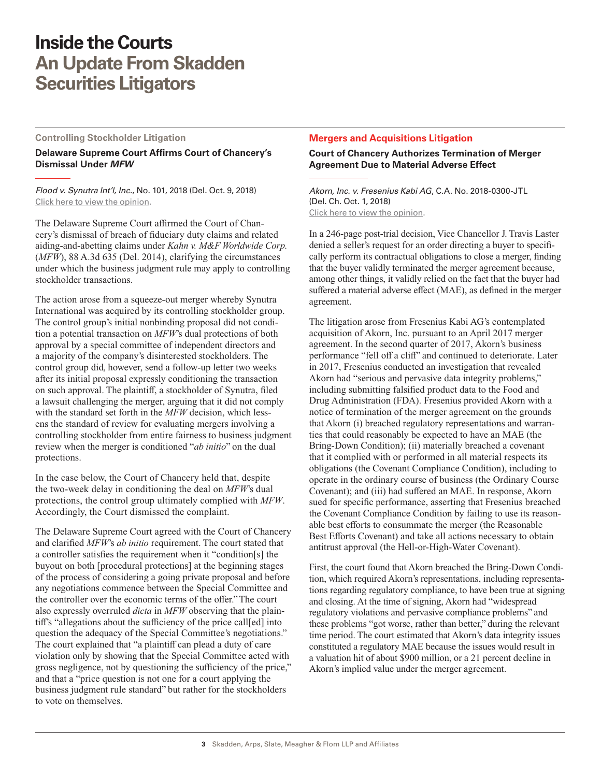#### <span id="page-2-0"></span>**Controlling Stockholder Litigation**

### **Delaware Supreme Court Affirms Court of Chancery's Dismissal Under** *MFW*

*Flood v. Synutra Int'l, Inc*., No. 101, 2018 (Del. Oct. 9, 2018) [Click here to view the opinion](https://www.skadden.com/-/media/files/publications/2018/11/inside-the-courts-november-2018/flood_v_synutra_intl.pdf).

The Delaware Supreme Court affirmed the Court of Chancery's dismissal of breach of fiduciary duty claims and related aiding-and-abetting claims under *Kahn v. M&F Worldwide Corp.*  (*MFW*), 88 A.3d 635 (Del. 2014), clarifying the circumstances under which the business judgment rule may apply to controlling stockholder transactions.

The action arose from a squeeze-out merger whereby Synutra International was acquired by its controlling stockholder group. The control group's initial nonbinding proposal did not condition a potential transaction on *MFW*'s dual protections of both approval by a special committee of independent directors and a majority of the company's disinterested stockholders. The control group did, however, send a follow-up letter two weeks after its initial proposal expressly conditioning the transaction on such approval. The plaintiff, a stockholder of Synutra, filed a lawsuit challenging the merger, arguing that it did not comply with the standard set forth in the *MFW* decision, which lessens the standard of review for evaluating mergers involving a controlling stockholder from entire fairness to business judgment review when the merger is conditioned "*ab initio*" on the dual protections.

In the case below, the Court of Chancery held that, despite the two-week delay in conditioning the deal on *MFW*'s dual protections, the control group ultimately complied with *MFW*. Accordingly, the Court dismissed the complaint.

The Delaware Supreme Court agreed with the Court of Chancery and clarified *MFW*'s *ab initio* requirement. The court stated that a controller satisfies the requirement when it "condition[s] the buyout on both [procedural protections] at the beginning stages of the process of considering a going private proposal and before any negotiations commence between the Special Committee and the controller over the economic terms of the offer." The court also expressly overruled *dicta* in *MFW* observing that the plaintiff's "allegations about the sufficiency of the price call[ed] into question the adequacy of the Special Committee's negotiations." The court explained that "a plaintiff can plead a duty of care violation only by showing that the Special Committee acted with gross negligence, not by questioning the sufficiency of the price," and that a "price question is not one for a court applying the business judgment rule standard" but rather for the stockholders to vote on themselves.

### **Mergers and Acquisitions Litigation**

### **Court of Chancery Authorizes Termination of Merger Agreement Due to Material Adverse Effect**

*Akorn, Inc. v. Fresenius Kabi AG*, C.A. No. 2018-0300-JTL (Del. Ch. Oct. 1, 2018) [Click here to view the opinion](http://www.skadden.com//-/media/files/publications/2018/11/inside-the-courts-november-2018/akorn_inc_v_fresenius_kabi_ag.pdf).

In a 246-page post-trial decision, Vice Chancellor J. Travis Laster denied a seller's request for an order directing a buyer to specifically perform its contractual obligations to close a merger, finding that the buyer validly terminated the merger agreement because, among other things, it validly relied on the fact that the buyer had suffered a material adverse effect (MAE), as defined in the merger agreement.

The litigation arose from Fresenius Kabi AG's contemplated acquisition of Akorn, Inc. pursuant to an April 2017 merger agreement. In the second quarter of 2017, Akorn's business performance "fell off a cliff" and continued to deteriorate. Later in 2017, Fresenius conducted an investigation that revealed Akorn had "serious and pervasive data integrity problems," including submitting falsified product data to the Food and Drug Administration (FDA). Fresenius provided Akorn with a notice of termination of the merger agreement on the grounds that Akorn (i) breached regulatory representations and warranties that could reasonably be expected to have an MAE (the Bring-Down Condition); (ii) materially breached a covenant that it complied with or performed in all material respects its obligations (the Covenant Compliance Condition), including to operate in the ordinary course of business (the Ordinary Course Covenant); and (iii) had suffered an MAE. In response, Akorn sued for specific performance, asserting that Fresenius breached the Covenant Compliance Condition by failing to use its reasonable best efforts to consummate the merger (the Reasonable Best Efforts Covenant) and take all actions necessary to obtain antitrust approval (the Hell-or-High-Water Covenant).

First, the court found that Akorn breached the Bring-Down Condition, which required Akorn's representations, including representations regarding regulatory compliance, to have been true at signing and closing. At the time of signing, Akorn had "widespread regulatory violations and pervasive compliance problems" and these problems "got worse, rather than better," during the relevant time period. The court estimated that Akorn's data integrity issues constituted a regulatory MAE because the issues would result in a valuation hit of about \$900 million, or a 21 percent decline in Akorn's implied value under the merger agreement.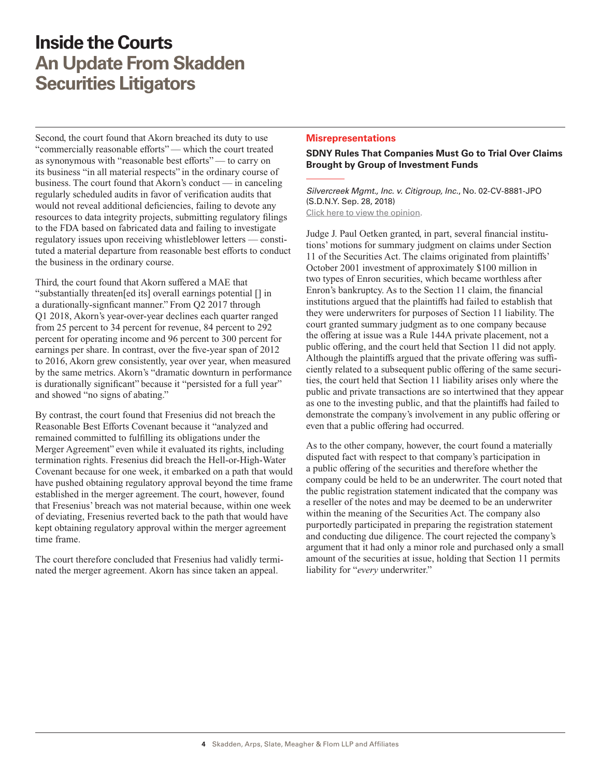<span id="page-3-0"></span>Second, the court found that Akorn breached its duty to use "commercially reasonable efforts" — which the court treated as synonymous with "reasonable best efforts" — to carry on its business "in all material respects" in the ordinary course of business. The court found that Akorn's conduct — in canceling regularly scheduled audits in favor of verification audits that would not reveal additional deficiencies, failing to devote any resources to data integrity projects, submitting regulatory filings to the FDA based on fabricated data and failing to investigate regulatory issues upon receiving whistleblower letters — constituted a material departure from reasonable best efforts to conduct the business in the ordinary course.

Third, the court found that Akorn suffered a MAE that "substantially threaten[ed its] overall earnings potential [] in a durationally-signficant manner." From Q2 2017 through Q1 2018, Akorn's year-over-year declines each quarter ranged from 25 percent to 34 percent for revenue, 84 percent to 292 percent for operating income and 96 percent to 300 percent for earnings per share. In contrast, over the five-year span of 2012 to 2016, Akorn grew consistently, year over year, when measured by the same metrics. Akorn's "dramatic downturn in performance is durationally significant" because it "persisted for a full year" and showed "no signs of abating."

By contrast, the court found that Fresenius did not breach the Reasonable Best Efforts Covenant because it "analyzed and remained committed to fulfilling its obligations under the Merger Agreement" even while it evaluated its rights, including termination rights. Fresenius did breach the Hell-or-High-Water Covenant because for one week, it embarked on a path that would have pushed obtaining regulatory approval beyond the time frame established in the merger agreement. The court, however, found that Fresenius' breach was not material because, within one week of deviating, Fresenius reverted back to the path that would have kept obtaining regulatory approval within the merger agreement time frame.

The court therefore concluded that Fresenius had validly terminated the merger agreement. Akorn has since taken an appeal.

#### **Misrepresentations**

### **SDNY Rules That Companies Must Go to Trial Over Claims Brought by Group of Investment Funds**

*Silvercreek Mgmt., Inc. v. Citigroup, Inc.*, No. 02-CV-8881-JPO (S.D.N.Y. Sep. 28, 2018) [Click here to view the opinion](https://www.skadden.com/-/media/files/publications/2018/11/inside-the-courts-november-2018/silvercreek_management_v_citigroup.pdf).

Judge J. Paul Oetken granted, in part, several financial institutions' motions for summary judgment on claims under Section 11 of the Securities Act. The claims originated from plaintiffs' October 2001 investment of approximately \$100 million in two types of Enron securities, which became worthless after Enron's bankruptcy. As to the Section 11 claim, the financial institutions argued that the plaintiffs had failed to establish that they were underwriters for purposes of Section 11 liability. The court granted summary judgment as to one company because the offering at issue was a Rule 144A private placement, not a public offering, and the court held that Section 11 did not apply. Although the plaintiffs argued that the private offering was sufficiently related to a subsequent public offering of the same securities, the court held that Section 11 liability arises only where the public and private transactions are so intertwined that they appear as one to the investing public, and that the plaintiffs had failed to demonstrate the company's involvement in any public offering or even that a public offering had occurred.

As to the other company, however, the court found a materially disputed fact with respect to that company's participation in a public offering of the securities and therefore whether the company could be held to be an underwriter. The court noted that the public registration statement indicated that the company was a reseller of the notes and may be deemed to be an underwriter within the meaning of the Securities Act. The company also purportedly participated in preparing the registration statement and conducting due diligence. The court rejected the company's argument that it had only a minor role and purchased only a small amount of the securities at issue, holding that Section 11 permits liability for "*every* underwriter."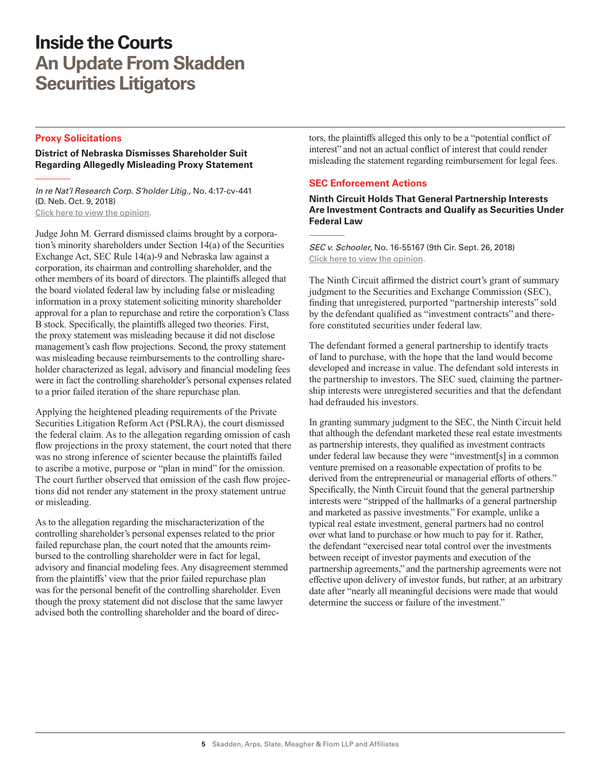# <span id="page-4-0"></span>**Proxy Solicitations**

#### **District of Nebraska Dismisses Shareholder Suit Regarding Allegedly Misleading Proxy Statement**

*In re Nat'l Research Corp. S'holder Litig.*, No. 4:17-cv-441 (D. Neb. Oct. 9, 2018) [Click here to view the opinion](https://www.skadden.com/-/media/files/publications/2018/11/inside-the-courts-november-2018/in_re_natl_research_corp_sholder_litig.pdf).

Judge John M. Gerrard dismissed claims brought by a corporation's minority shareholders under Section 14(a) of the Securities Exchange Act, SEC Rule 14(a)-9 and Nebraska law against a corporation, its chairman and controlling shareholder, and the other members of its board of directors. The plaintiffs alleged that the board violated federal law by including false or misleading information in a proxy statement soliciting minority shareholder approval for a plan to repurchase and retire the corporation's Class B stock. Specifically, the plaintiffs alleged two theories. First, the proxy statement was misleading because it did not disclose management's cash flow projections. Second, the proxy statement was misleading because reimbursements to the controlling shareholder characterized as legal, advisory and financial modeling fees were in fact the controlling shareholder's personal expenses related to a prior failed iteration of the share repurchase plan.

Applying the heightened pleading requirements of the Private Securities Litigation Reform Act (PSLRA), the court dismissed the federal claim. As to the allegation regarding omission of cash flow projections in the proxy statement, the court noted that there was no strong inference of scienter because the plaintiffs failed to ascribe a motive, purpose or "plan in mind" for the omission. The court further observed that omission of the cash flow projections did not render any statement in the proxy statement untrue or misleading.

As to the allegation regarding the mischaracterization of the controlling shareholder's personal expenses related to the prior failed repurchase plan, the court noted that the amounts reimbursed to the controlling shareholder were in fact for legal, advisory and financial modeling fees. Any disagreement stemmed from the plaintiffs' view that the prior failed repurchase plan was for the personal benefit of the controlling shareholder. Even though the proxy statement did not disclose that the same lawyer advised both the controlling shareholder and the board of directors, the plaintiffs alleged this only to be a "potential conflict of interest" and not an actual conflict of interest that could render misleading the statement regarding reimbursement for legal fees.

# **SEC Enforcement Actions**

**Ninth Circuit Holds That General Partnership Interests Are Investment Contracts and Qualify as Securities Under Federal Law**

*SEC v. Schooler*, No. 16-55167 (9th Cir. Sept. 26, 2018) [Click here to view the opinion](https://www.skadden.com/-/media/files/publications/2018/11/inside-the-courts-november-2018/sec_v_schooler.pdf).

The Ninth Circuit affirmed the district court's grant of summary judgment to the Securities and Exchange Commission (SEC), finding that unregistered, purported "partnership interests" sold by the defendant qualified as "investment contracts" and therefore constituted securities under federal law.

The defendant formed a general partnership to identify tracts of land to purchase, with the hope that the land would become developed and increase in value. The defendant sold interests in the partnership to investors. The SEC sued, claiming the partnership interests were unregistered securities and that the defendant had defrauded his investors.

In granting summary judgment to the SEC, the Ninth Circuit held that although the defendant marketed these real estate investments as partnership interests, they qualified as investment contracts under federal law because they were "investment[s] in a common venture premised on a reasonable expectation of profits to be derived from the entrepreneurial or managerial efforts of others." Specifically, the Ninth Circuit found that the general partnership interests were "stripped of the hallmarks of a general partnership and marketed as passive investments." For example, unlike a typical real estate investment, general partners had no control over what land to purchase or how much to pay for it. Rather, the defendant "exercised near total control over the investments between receipt of investor payments and execution of the partnership agreements," and the partnership agreements were not effective upon delivery of investor funds, but rather, at an arbitrary date after "nearly all meaningful decisions were made that would determine the success or failure of the investment."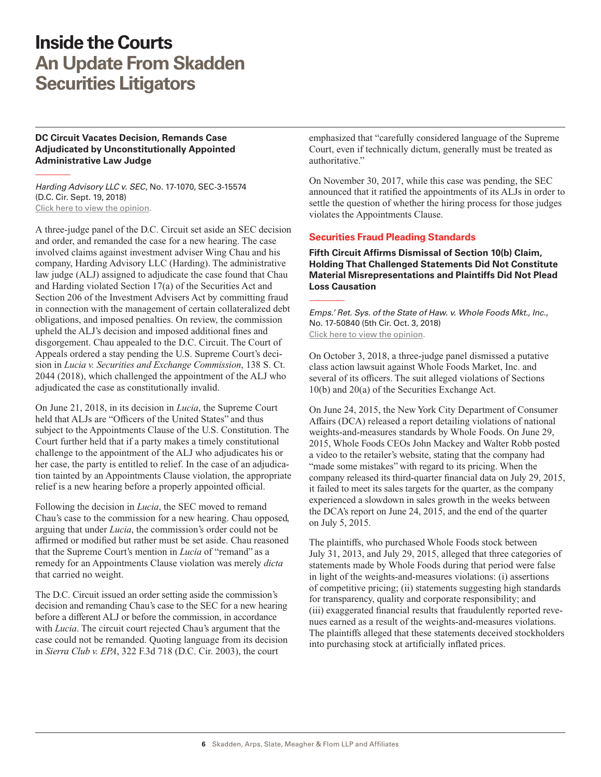#### <span id="page-5-0"></span>**DC Circuit Vacates Decision, Remands Case Adjudicated by Unconstitutionally Appointed Administrative Law Judge**

*Harding Advisory LLC v. SEC*, No. 17-1070, SEC-3-15574 (D.C. Cir. Sept. 19, 2018) [Click here to view the opinion](https://www.skadden.com/-/media/files/publications/2018/11/inside-the-courts-november-2018/harding_advisory_v_sec.pdf).

A three-judge panel of the D.C. Circuit set aside an SEC decision and order, and remanded the case for a new hearing. The case involved claims against investment adviser Wing Chau and his company, Harding Advisory LLC (Harding). The administrative law judge (ALJ) assigned to adjudicate the case found that Chau and Harding violated Section 17(a) of the Securities Act and Section 206 of the Investment Advisers Act by committing fraud in connection with the management of certain collateralized debt obligations, and imposed penalties. On review, the commission upheld the ALJ's decision and imposed additional fines and disgorgement. Chau appealed to the D.C. Circuit. The Court of Appeals ordered a stay pending the U.S. Supreme Court's decision in *Lucia v. Securities and Exchange Commission*, 138 S. Ct. 2044 (2018), which challenged the appointment of the ALJ who adjudicated the case as constitutionally invalid.

On June 21, 2018, in its decision in *Lucia*, the Supreme Court held that ALJs are "Officers of the United States" and thus subject to the Appointments Clause of the U.S. Constitution. The Court further held that if a party makes a timely constitutional challenge to the appointment of the ALJ who adjudicates his or her case, the party is entitled to relief. In the case of an adjudication tainted by an Appointments Clause violation, the appropriate relief is a new hearing before a properly appointed official.

Following the decision in *Lucia*, the SEC moved to remand Chau's case to the commission for a new hearing. Chau opposed, arguing that under *Lucia*, the commission's order could not be affirmed or modified but rather must be set aside. Chau reasoned that the Supreme Court's mention in *Lucia* of "remand" as a remedy for an Appointments Clause violation was merely *dicta* that carried no weight.

The D.C. Circuit issued an order setting aside the commission's decision and remanding Chau's case to the SEC for a new hearing before a different ALJ or before the commission, in accordance with *Lucia*. The circuit court rejected Chau's argument that the case could not be remanded. Quoting language from its decision in *Sierra Club v. EPA*, 322 F.3d 718 (D.C. Cir. 2003), the court

emphasized that "carefully considered language of the Supreme Court, even if technically dictum, generally must be treated as authoritative."

On November 30, 2017, while this case was pending, the SEC announced that it ratified the appointments of its ALJs in order to settle the question of whether the hiring process for those judges violates the Appointments Clause.

# **Securities Fraud Pleading Standards**

**Fifth Circuit Affirms Dismissal of Section 10(b) Claim, Holding That Challenged Statements Did Not Constitute Material Misrepresentations and Plaintiffs Did Not Plead Loss Causation**

*Emps.' Ret. Sys. of the State of Haw. v. Whole Foods Mkt., Inc.*, No. 17-50840 (5th Cir. Oct. 3, 2018) [Click here to view the opinion](http://www.skadden.com/-/media/files/publications/2018/11/inside-the-courts-november-2018/employeesretsysofthestateofhawaiivwholefoodsmkt.pdf).

On October 3, 2018, a three-judge panel dismissed a putative class action lawsuit against Whole Foods Market, Inc. and several of its officers. The suit alleged violations of Sections 10(b) and 20(a) of the Securities Exchange Act.

On June 24, 2015, the New York City Department of Consumer Affairs (DCA) released a report detailing violations of national weights-and-measures standards by Whole Foods. On June 29, 2015, Whole Foods CEOs John Mackey and Walter Robb posted a video to the retailer's website, stating that the company had "made some mistakes" with regard to its pricing. When the company released its third-quarter financial data on July 29, 2015, it failed to meet its sales targets for the quarter, as the company experienced a slowdown in sales growth in the weeks between the DCA's report on June 24, 2015, and the end of the quarter on July 5, 2015.

The plaintiffs, who purchased Whole Foods stock between July 31, 2013, and July 29, 2015, alleged that three categories of statements made by Whole Foods during that period were false in light of the weights-and-measures violations: (i) assertions of competitive pricing; (ii) statements suggesting high standards for transparency, quality and corporate responsibility; and (iii) exaggerated financial results that fraudulently reported revenues earned as a result of the weights-and-measures violations. The plaintiffs alleged that these statements deceived stockholders into purchasing stock at artificially inflated prices.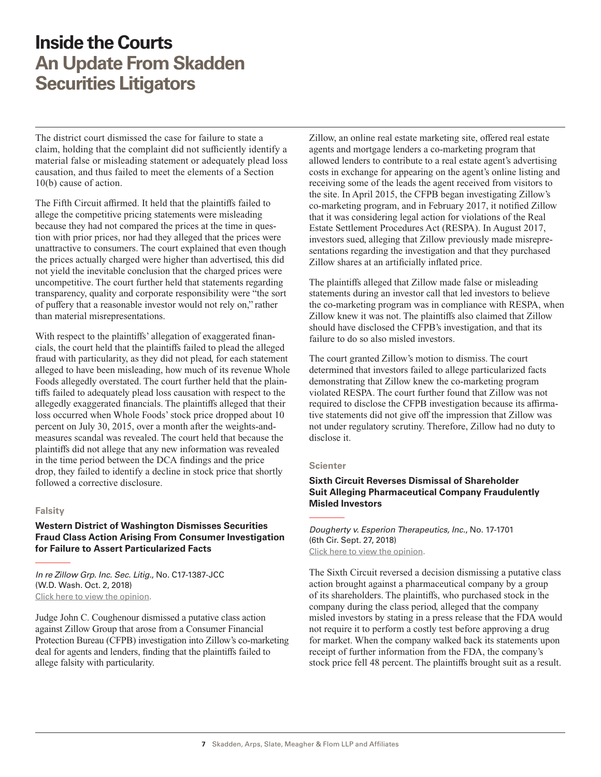<span id="page-6-0"></span>The district court dismissed the case for failure to state a claim, holding that the complaint did not sufficiently identify a material false or misleading statement or adequately plead loss causation, and thus failed to meet the elements of a Section 10(b) cause of action.

The Fifth Circuit affirmed. It held that the plaintiffs failed to allege the competitive pricing statements were misleading because they had not compared the prices at the time in question with prior prices, nor had they alleged that the prices were unattractive to consumers. The court explained that even though the prices actually charged were higher than advertised, this did not yield the inevitable conclusion that the charged prices were uncompetitive. The court further held that statements regarding transparency, quality and corporate responsibility were "the sort of puffery that a reasonable investor would not rely on," rather than material misrepresentations.

With respect to the plaintiffs' allegation of exaggerated financials, the court held that the plaintiffs failed to plead the alleged fraud with particularity, as they did not plead, for each statement alleged to have been misleading, how much of its revenue Whole Foods allegedly overstated. The court further held that the plaintiffs failed to adequately plead loss causation with respect to the allegedly exaggerated financials. The plaintiffs alleged that their loss occurred when Whole Foods' stock price dropped about 10 percent on July 30, 2015, over a month after the weights-andmeasures scandal was revealed. The court held that because the plaintiffs did not allege that any new information was revealed in the time period between the DCA findings and the price drop, they failed to identify a decline in stock price that shortly followed a corrective disclosure.

#### **Falsity**

#### **Western District of Washington Dismisses Securities Fraud Class Action Arising From Consumer Investigation for Failure to Assert Particularized Facts**

*In re Zillow Grp. Inc. Sec. Litig*., No. C17-1387-JCC (W.D. Wash. Oct. 2, 2018) [Click here to view the opinion](https://www.skadden.com/-/media/files/publications/2018/11/inside-the-courts-november-2018/shotwell_v_zillow_group.pdf).

Judge John C. Coughenour dismissed a putative class action against Zillow Group that arose from a Consumer Financial Protection Bureau (CFPB) investigation into Zillow's co-marketing deal for agents and lenders, finding that the plaintiffs failed to allege falsity with particularity.

Zillow, an online real estate marketing site, offered real estate agents and mortgage lenders a co-marketing program that allowed lenders to contribute to a real estate agent's advertising costs in exchange for appearing on the agent's online listing and receiving some of the leads the agent received from visitors to the site. In April 2015, the CFPB began investigating Zillow's co-marketing program, and in February 2017, it notified Zillow that it was considering legal action for violations of the Real Estate Settlement Procedures Act (RESPA). In August 2017, investors sued, alleging that Zillow previously made misrepresentations regarding the investigation and that they purchased Zillow shares at an artificially inflated price.

The plaintiffs alleged that Zillow made false or misleading statements during an investor call that led investors to believe the co-marketing program was in compliance with RESPA, when Zillow knew it was not. The plaintiffs also claimed that Zillow should have disclosed the CFPB's investigation, and that its failure to do so also misled investors.

The court granted Zillow's motion to dismiss. The court determined that investors failed to allege particularized facts demonstrating that Zillow knew the co-marketing program violated RESPA. The court further found that Zillow was not required to disclose the CFPB investigation because its affirmative statements did not give off the impression that Zillow was not under regulatory scrutiny. Therefore, Zillow had no duty to disclose it.

#### **Scienter**

### **Sixth Circuit Reverses Dismissal of Shareholder Suit Alleging Pharmaceutical Company Fraudulently Misled Investors**

*Dougherty v. Esperion Therapeutics, Inc.*, No. 17-1701 (6th Cir. Sept. 27, 2018) [Click here to view the opinion](http://www.skadden.com/-/media/files/publications/2018/11/inside-the-courts-november-2018/dougherty_v_esperion_therapeutics_inc.pdf).

The Sixth Circuit reversed a decision dismissing a putative class action brought against a pharmaceutical company by a group of its shareholders. The plaintiffs, who purchased stock in the company during the class period, alleged that the company misled investors by stating in a press release that the FDA would not require it to perform a costly test before approving a drug for market. When the company walked back its statements upon receipt of further information from the FDA, the company's stock price fell 48 percent. The plaintiffs brought suit as a result.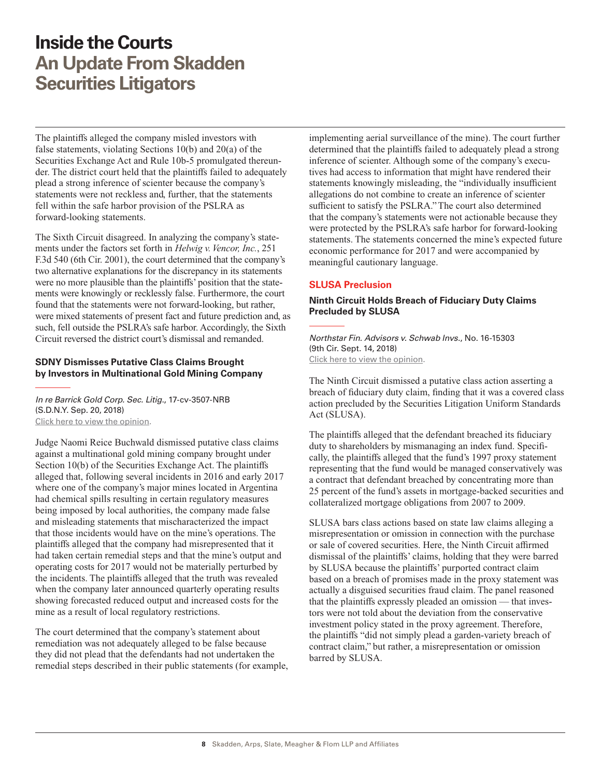<span id="page-7-0"></span>The plaintiffs alleged the company misled investors with false statements, violating Sections 10(b) and 20(a) of the Securities Exchange Act and Rule 10b-5 promulgated thereunder. The district court held that the plaintiffs failed to adequately plead a strong inference of scienter because the company's statements were not reckless and, further, that the statements fell within the safe harbor provision of the PSLRA as forward-looking statements.

The Sixth Circuit disagreed. In analyzing the company's statements under the factors set forth in *Helwig v. Vencor, Inc.*, 251 F.3d 540 (6th Cir. 2001), the court determined that the company's two alternative explanations for the discrepancy in its statements were no more plausible than the plaintiffs' position that the statements were knowingly or recklessly false. Furthermore, the court found that the statements were not forward-looking, but rather, were mixed statements of present fact and future prediction and, as such, fell outside the PSLRA's safe harbor. Accordingly, the Sixth Circuit reversed the district court's dismissal and remanded.

### **SDNY Dismisses Putative Class Claims Brought by Investors in Multinational Gold Mining Company**

*In re Barrick Gold Corp. Sec. Litig*., 17-cv-3507-NRB (S.D.N.Y. Sep. 20, 2018) [Click here to view the opinion](https://www.skadden.com/-/media/files/publications/2018/11/inside-the-courts-november-2018/in_re_barrick_gold.pdf).

Judge Naomi Reice Buchwald dismissed putative class claims against a multinational gold mining company brought under Section 10(b) of the Securities Exchange Act. The plaintiffs alleged that, following several incidents in 2016 and early 2017 where one of the company's major mines located in Argentina had chemical spills resulting in certain regulatory measures being imposed by local authorities, the company made false and misleading statements that mischaracterized the impact that those incidents would have on the mine's operations. The plaintiffs alleged that the company had misrepresented that it had taken certain remedial steps and that the mine's output and operating costs for 2017 would not be materially perturbed by the incidents. The plaintiffs alleged that the truth was revealed when the company later announced quarterly operating results showing forecasted reduced output and increased costs for the mine as a result of local regulatory restrictions.

The court determined that the company's statement about remediation was not adequately alleged to be false because they did not plead that the defendants had not undertaken the remedial steps described in their public statements (for example, implementing aerial surveillance of the mine). The court further determined that the plaintiffs failed to adequately plead a strong inference of scienter. Although some of the company's executives had access to information that might have rendered their statements knowingly misleading, the "individually insufficient allegations do not combine to create an inference of scienter sufficient to satisfy the PSLRA." The court also determined that the company's statements were not actionable because they were protected by the PSLRA's safe harbor for forward-looking statements. The statements concerned the mine's expected future economic performance for 2017 and were accompanied by meaningful cautionary language.

# **SLUSA Preclusion**

#### **Ninth Circuit Holds Breach of Fiduciary Duty Claims Precluded by SLUSA**

*Northstar Fin. Advisors v. Schwab Invs.*, No. 16-15303 (9th Cir. Sept. 14, 2018) [Click here to view the opinion](https://www.skadden.com/-/media/files/publications/2018/11/inside-the-courts-november-2018/northstar_financial_advisors_v_schwab_investments.pdf).

The Ninth Circuit dismissed a putative class action asserting a breach of fiduciary duty claim, finding that it was a covered class action precluded by the Securities Litigation Uniform Standards Act (SLUSA).

The plaintiffs alleged that the defendant breached its fiduciary duty to shareholders by mismanaging an index fund. Specifically, the plaintiffs alleged that the fund's 1997 proxy statement representing that the fund would be managed conservatively was a contract that defendant breached by concentrating more than 25 percent of the fund's assets in mortgage-backed securities and collateralized mortgage obligations from 2007 to 2009.

SLUSA bars class actions based on state law claims alleging a misrepresentation or omission in connection with the purchase or sale of covered securities. Here, the Ninth Circuit affirmed dismissal of the plaintiffs' claims, holding that they were barred by SLUSA because the plaintiffs' purported contract claim based on a breach of promises made in the proxy statement was actually a disguised securities fraud claim. The panel reasoned that the plaintiffs expressly pleaded an omission — that investors were not told about the deviation from the conservative investment policy stated in the proxy agreement. Therefore, the plaintiffs "did not simply plead a garden-variety breach of contract claim," but rather, a misrepresentation or omission barred by SLUSA.